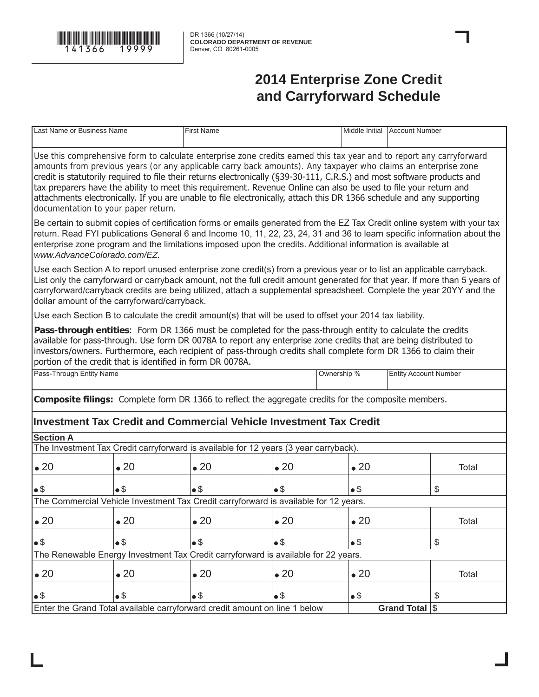

## **2014 Enterprise Zone Credit and Carryforward Schedule**

| Last Name or Business Name                                                                                                                                                                                                                                                                                                                                                                                                                                                                                                                                                                                                                            |              | <b>First Name</b>                                                                                                                                                                                                                                                                                                                                                             |              |  |                | Middle Initial Account Number |       |
|-------------------------------------------------------------------------------------------------------------------------------------------------------------------------------------------------------------------------------------------------------------------------------------------------------------------------------------------------------------------------------------------------------------------------------------------------------------------------------------------------------------------------------------------------------------------------------------------------------------------------------------------------------|--------------|-------------------------------------------------------------------------------------------------------------------------------------------------------------------------------------------------------------------------------------------------------------------------------------------------------------------------------------------------------------------------------|--------------|--|----------------|-------------------------------|-------|
| Use this comprehensive form to calculate enterprise zone credits earned this tax year and to report any carryforward<br>amounts from previous years (or any applicable carry back amounts). Any taxpayer who claims an enterprise zone<br>credit is statutorily required to file their returns electronically (§39-30-111, C.R.S.) and most software products and<br>tax preparers have the ability to meet this requirement. Revenue Online can also be used to file your return and<br>attachments electronically. If you are unable to file electronically, attach this DR 1366 schedule and any supporting<br>documentation to your paper return. |              |                                                                                                                                                                                                                                                                                                                                                                               |              |  |                |                               |       |
| Be certain to submit copies of certification forms or emails generated from the EZ Tax Credit online system with your tax<br>return. Read FYI publications General 6 and Income 10, 11, 22, 23, 24, 31 and 36 to learn specific information about the<br>enterprise zone program and the limitations imposed upon the credits. Additional information is available at<br>www.AdvanceColorado.com/EZ.                                                                                                                                                                                                                                                  |              |                                                                                                                                                                                                                                                                                                                                                                               |              |  |                |                               |       |
| dollar amount of the carryforward/carryback.                                                                                                                                                                                                                                                                                                                                                                                                                                                                                                                                                                                                          |              | Use each Section A to report unused enterprise zone credit(s) from a previous year or to list an applicable carryback.<br>List only the carryforward or carryback amount, not the full credit amount generated for that year. If more than 5 years of<br>carryforward/carryback credits are being utilized, attach a supplemental spreadsheet. Complete the year 20YY and the |              |  |                |                               |       |
|                                                                                                                                                                                                                                                                                                                                                                                                                                                                                                                                                                                                                                                       |              | Use each Section B to calculate the credit amount(s) that will be used to offset your 2014 tax liability.                                                                                                                                                                                                                                                                     |              |  |                |                               |       |
| Pass-through entities: Form DR 1366 must be completed for the pass-through entity to calculate the credits<br>available for pass-through. Use form DR 0078A to report any enterprise zone credits that are being distributed to<br>investors/owners. Furthermore, each recipient of pass-through credits shall complete form DR 1366 to claim their<br>portion of the credit that is identified in form DR 0078A.                                                                                                                                                                                                                                     |              |                                                                                                                                                                                                                                                                                                                                                                               |              |  |                |                               |       |
| Pass-Through Entity Name<br>Ownership %<br><b>Entity Account Number</b>                                                                                                                                                                                                                                                                                                                                                                                                                                                                                                                                                                               |              |                                                                                                                                                                                                                                                                                                                                                                               |              |  |                |                               |       |
|                                                                                                                                                                                                                                                                                                                                                                                                                                                                                                                                                                                                                                                       |              | <b>Composite filings:</b> Complete form DR 1366 to reflect the aggregate credits for the composite members.                                                                                                                                                                                                                                                                   |              |  |                |                               |       |
|                                                                                                                                                                                                                                                                                                                                                                                                                                                                                                                                                                                                                                                       |              | Investment Tax Credit and Commercial Vehicle Investment Tax Credit                                                                                                                                                                                                                                                                                                            |              |  |                |                               |       |
| <b>Section A</b>                                                                                                                                                                                                                                                                                                                                                                                                                                                                                                                                                                                                                                      |              |                                                                                                                                                                                                                                                                                                                                                                               |              |  |                |                               |       |
|                                                                                                                                                                                                                                                                                                                                                                                                                                                                                                                                                                                                                                                       |              | The Investment Tax Credit carryforward is available for 12 years (3 year carryback).                                                                                                                                                                                                                                                                                          |              |  |                |                               |       |
| $\bullet$ 20                                                                                                                                                                                                                                                                                                                                                                                                                                                                                                                                                                                                                                          | $\bullet$ 20 | $\bullet$ 20                                                                                                                                                                                                                                                                                                                                                                  | $\bullet$ 20 |  | $\bullet$ 20   |                               | Total |
| $\bullet$ \$                                                                                                                                                                                                                                                                                                                                                                                                                                                                                                                                                                                                                                          | •\$          | •\$                                                                                                                                                                                                                                                                                                                                                                           | $\bullet$ \$ |  | •\$            |                               | \$    |
|                                                                                                                                                                                                                                                                                                                                                                                                                                                                                                                                                                                                                                                       |              | The Commercial Vehicle Investment Tax Credit carryforward is available for 12 years.                                                                                                                                                                                                                                                                                          |              |  |                |                               |       |
| $\bullet$ 20                                                                                                                                                                                                                                                                                                                                                                                                                                                                                                                                                                                                                                          | $\bullet$ 20 | $\bullet$ 20                                                                                                                                                                                                                                                                                                                                                                  | $\bullet$ 20 |  | $\bullet$ 20   |                               | Total |
| •\$                                                                                                                                                                                                                                                                                                                                                                                                                                                                                                                                                                                                                                                   | •\$          | $•$ \$                                                                                                                                                                                                                                                                                                                                                                        | $\bullet$ \$ |  | $\bullet$ \$   |                               | \$    |
| The Renewable Energy Investment Tax Credit carryforward is available for 22 years.                                                                                                                                                                                                                                                                                                                                                                                                                                                                                                                                                                    |              |                                                                                                                                                                                                                                                                                                                                                                               |              |  |                |                               |       |
| $\bullet$ 20                                                                                                                                                                                                                                                                                                                                                                                                                                                                                                                                                                                                                                          | $\bullet$ 20 | $\bullet$ 20                                                                                                                                                                                                                                                                                                                                                                  | $\bullet$ 20 |  | $\bullet$ 20   |                               | Total |
| $\bullet$ \$                                                                                                                                                                                                                                                                                                                                                                                                                                                                                                                                                                                                                                          | $\bullet$ \$ | $\bullet$ \$                                                                                                                                                                                                                                                                                                                                                                  | $•$ \$       |  | $\bullet$ \$   |                               | \$    |
| Enter the Grand Total available carryforward credit amount on line 1 below                                                                                                                                                                                                                                                                                                                                                                                                                                                                                                                                                                            |              |                                                                                                                                                                                                                                                                                                                                                                               |              |  | Grand Total \$ |                               |       |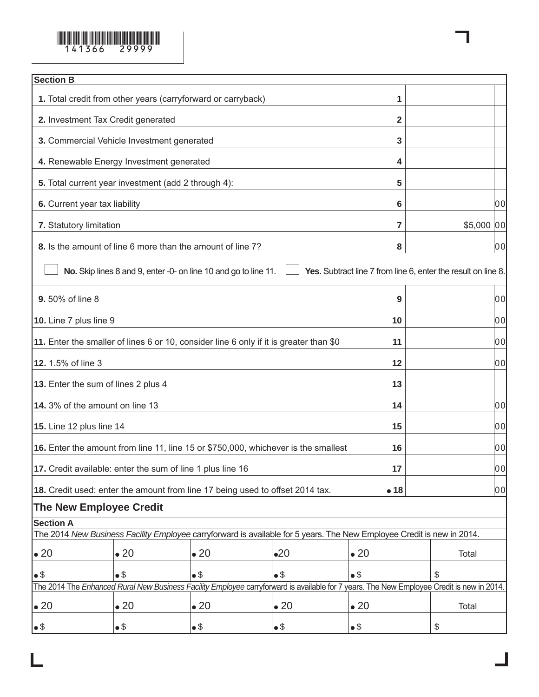

| <b>Section B</b>                                                                       |                                                              |                                                                                                                                           |                |              |                                                               |            |
|----------------------------------------------------------------------------------------|--------------------------------------------------------------|-------------------------------------------------------------------------------------------------------------------------------------------|----------------|--------------|---------------------------------------------------------------|------------|
|                                                                                        | 1. Total credit from other years (carryforward or carryback) |                                                                                                                                           |                | 1            |                                                               |            |
| 2. Investment Tax Credit generated                                                     |                                                              |                                                                                                                                           |                |              |                                                               |            |
|                                                                                        | 3. Commercial Vehicle Investment generated                   |                                                                                                                                           |                | 3            |                                                               |            |
|                                                                                        | 4. Renewable Energy Investment generated                     |                                                                                                                                           |                | 4            |                                                               |            |
| 5. Total current year investment (add 2 through 4):                                    | 5                                                            |                                                                                                                                           |                |              |                                                               |            |
| 6. Current year tax liability                                                          |                                                              |                                                                                                                                           |                | 6            |                                                               | 00         |
| 7. Statutory limitation                                                                |                                                              |                                                                                                                                           |                | 7            |                                                               | \$5,000 00 |
|                                                                                        | 8. Is the amount of line 6 more than the amount of line 7?   |                                                                                                                                           |                | 8            |                                                               | 00         |
|                                                                                        |                                                              | No. Skip lines 8 and 9, enter -0- on line 10 and go to line 11.                                                                           |                |              | Yes. Subtract line 7 from line 6, enter the result on line 8. |            |
| 9.50% of line 8                                                                        |                                                              |                                                                                                                                           |                | 9            |                                                               | 00         |
| 10. Line 7 plus line 9                                                                 |                                                              |                                                                                                                                           |                | 10           |                                                               | 00         |
| 11. Enter the smaller of lines 6 or 10, consider line 6 only if it is greater than \$0 |                                                              | 11                                                                                                                                        |                | 00           |                                                               |            |
| 12. 1.5% of line 3                                                                     |                                                              |                                                                                                                                           |                | 12           |                                                               | 00         |
| 13. Enter the sum of lines 2 plus 4                                                    |                                                              |                                                                                                                                           |                | 13           |                                                               |            |
| 14. 3% of the amount on line 13                                                        |                                                              |                                                                                                                                           |                | 14           |                                                               | 00         |
| <b>15.</b> Line 12 plus line 14                                                        |                                                              |                                                                                                                                           |                | 15           |                                                               | 00         |
|                                                                                        |                                                              | 16. Enter the amount from line 11, line 15 or \$750,000, whichever is the smallest                                                        |                | 16           |                                                               | 00         |
| 17. Credit available: enter the sum of line 1 plus line 16                             |                                                              |                                                                                                                                           |                | 17           |                                                               | 00         |
|                                                                                        |                                                              | 18. Credit used: enter the amount from line 17 being used to offset 2014 tax.                                                             |                | •18          |                                                               | 00         |
| <b>The New Employee Credit</b>                                                         |                                                              |                                                                                                                                           |                |              |                                                               |            |
| <b>Section A</b>                                                                       |                                                              |                                                                                                                                           |                |              |                                                               |            |
|                                                                                        |                                                              | The 2014 New Business Facility Employee carryforward is available for 5 years. The New Employee Credit is new in 2014.                    |                |              |                                                               |            |
| $\bullet$ 20                                                                           | $\bullet$ 20                                                 | $\bullet$ 20                                                                                                                              | •20            | $\bullet$ 20 | Total                                                         |            |
| $\bullet$ \$                                                                           | •\$                                                          | •\$                                                                                                                                       | • <sup>§</sup> | •\$          | \$                                                            |            |
|                                                                                        |                                                              | The 2014 The Enhanced Rural New Business Facility Employee carryforward is available for 7 years. The New Employee Credit is new in 2014. |                |              |                                                               |            |
| $\bullet$ 20                                                                           | $\bullet$ 20                                                 | $\bullet$ 20                                                                                                                              | $\bullet$ 20   | $\bullet$ 20 | Total                                                         |            |
| $\bullet$                                                                              | $\bullet$ \$                                                 | $\bullet$ \$                                                                                                                              | •\$            | $\bullet$ \$ | \$                                                            |            |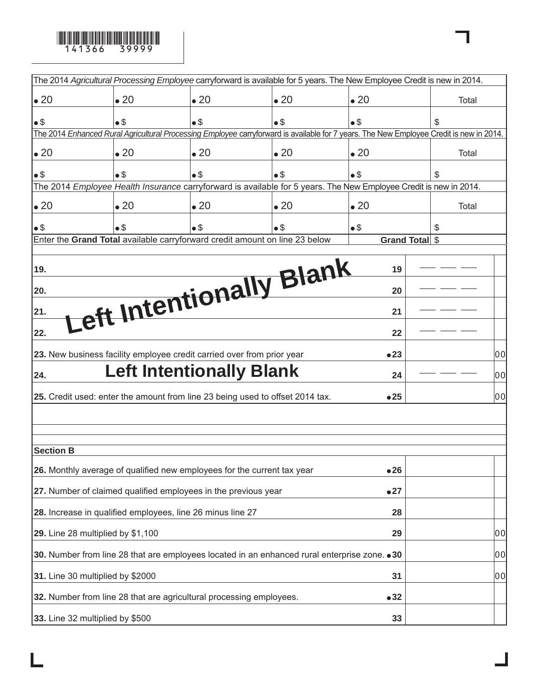

|                                                                                               |              | The 2014 Agricultural Processing Employee carryforward is available for 5 years. The New Employee Credit is new in 2014.                |              |              |                |       |
|-----------------------------------------------------------------------------------------------|--------------|-----------------------------------------------------------------------------------------------------------------------------------------|--------------|--------------|----------------|-------|
| $\bullet$ 20                                                                                  | $\bullet$ 20 | $\bullet$ 20                                                                                                                            | $\bullet$ 20 | $\bullet$ 20 |                | Total |
| $\bullet$ \$                                                                                  | $\bullet$ \$ | $\bullet$ \$                                                                                                                            | $\bullet$ \$ | $\bullet$ \$ | S              |       |
|                                                                                               |              | The 2014 Enhanced Rural Agricultural Processing Employee carryforward is available for 7 years. The New Employee Credit is new in 2014. |              |              |                |       |
| $\bullet$ 20                                                                                  | $\bullet$ 20 | $\bullet$ 20                                                                                                                            | $\bullet$ 20 | $\bullet$ 20 |                | Total |
| $\bullet$ \$                                                                                  | $\bullet$ \$ | $\bullet$ \$                                                                                                                            | •\$          | •\$          | \$             |       |
|                                                                                               |              | The 2014 Employee Health Insurance carryforward is available for 5 years. The New Employee Credit is new in 2014.                       |              |              |                |       |
| $\bullet$ 20                                                                                  | $\bullet$ 20 | $\bullet$ 20                                                                                                                            | $\bullet$ 20 | $\bullet$ 20 |                | Total |
| $\bullet$ \$                                                                                  | $\bullet$ \$ | $\bullet$ \$                                                                                                                            | $\bullet$ \$ | •\$          | S              |       |
|                                                                                               |              | Enter the Grand Total available carryforward credit amount on line 23 below                                                             |              |              | Grand Total \$ |       |
| 19.                                                                                           |              | Left Intentionally Blank                                                                                                                |              | 19           |                |       |
| 20.                                                                                           |              |                                                                                                                                         |              | 20           |                |       |
| 21.                                                                                           |              |                                                                                                                                         |              | 21           |                |       |
| 22.                                                                                           |              |                                                                                                                                         |              | 22           |                |       |
|                                                                                               |              | 23. New business facility employee credit carried over from prior year                                                                  |              | •23          |                | 00    |
| 24.                                                                                           |              | <b>Left Intentionally Blank</b>                                                                                                         |              | 24           |                | 00    |
|                                                                                               |              | 25. Credit used: enter the amount from line 23 being used to offset 2014 tax.                                                           |              | •25          |                | 00    |
|                                                                                               |              |                                                                                                                                         |              |              |                |       |
|                                                                                               |              |                                                                                                                                         |              |              |                |       |
| <b>Section B</b>                                                                              |              |                                                                                                                                         |              |              |                |       |
|                                                                                               |              | 26. Monthly average of qualified new employees for the current tax year                                                                 |              | •26          |                |       |
|                                                                                               |              | 27. Number of claimed qualified employees in the previous year                                                                          |              | •27          |                |       |
| 28. Increase in qualified employees, line 26 minus line 27<br>28                              |              |                                                                                                                                         |              |              |                |       |
| 29. Line 28 multiplied by \$1,100                                                             |              |                                                                                                                                         |              |              |                | 00    |
| 30. Number from line 28 that are employees located in an enhanced rural enterprise zone. . 30 |              |                                                                                                                                         |              |              |                | 00    |
| 31. Line 30 multiplied by \$2000                                                              |              |                                                                                                                                         |              |              |                | 00    |
| 32. Number from line 28 that are agricultural processing employees.<br>•32                    |              |                                                                                                                                         |              |              |                |       |
| 33. Line 32 multiplied by \$500<br>33                                                         |              |                                                                                                                                         |              |              |                |       |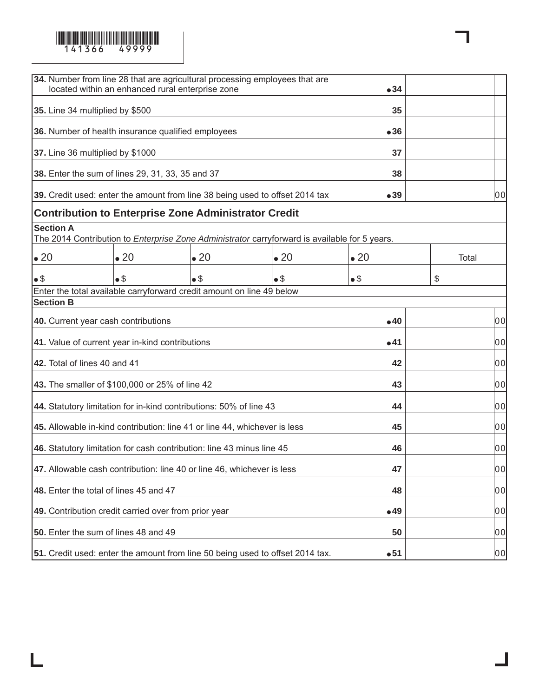

| <b>34.</b> Number from line 28 that are agricultural processing employees that are<br>located within an enhanced rural enterprise zone |              |              |              |              |       |    |
|----------------------------------------------------------------------------------------------------------------------------------------|--------------|--------------|--------------|--------------|-------|----|
| 35. Line 34 multiplied by \$500                                                                                                        |              |              |              |              |       |    |
| 36. Number of health insurance qualified employees                                                                                     |              |              |              | •36          |       |    |
| 37. Line 36 multiplied by \$1000                                                                                                       |              |              |              | 37           |       |    |
| 38. Enter the sum of lines 29, 31, 33, 35 and 37                                                                                       |              |              |              | 38           |       |    |
| 39. Credit used: enter the amount from line 38 being used to offset 2014 tax                                                           |              |              |              | •39          |       | 00 |
| <b>Contribution to Enterprise Zone Administrator Credit</b>                                                                            |              |              |              |              |       |    |
| <b>Section A</b><br>The 2014 Contribution to <i>Enterprise Zone Administrator</i> carryforward is available for 5 years.               |              |              |              |              |       |    |
|                                                                                                                                        |              |              |              |              |       |    |
| $\bullet$ 20                                                                                                                           | $\bullet$ 20 | $\bullet$ 20 | $\bullet$ 20 | $\bullet$ 20 | Total |    |
| $\bullet$ \$                                                                                                                           | $\bullet$ \$ | •\$          | $\bullet$ \$ | $\bullet$ \$ | \$    |    |
| Enter the total available carryforward credit amount on line 49 below<br><b>Section B</b>                                              |              |              |              |              |       |    |
| 40. Current year cash contributions                                                                                                    |              |              |              | •40          |       | 00 |
|                                                                                                                                        |              |              |              |              |       |    |
| 41. Value of current year in-kind contributions                                                                                        |              |              |              | •41          |       | 00 |
| 42. Total of lines 40 and 41                                                                                                           |              |              |              | 42           |       | 00 |
| 43. The smaller of \$100,000 or 25% of line 42                                                                                         |              |              |              | 43           |       | 00 |
| 44. Statutory limitation for in-kind contributions: 50% of line 43                                                                     |              |              |              | 44           |       | 00 |
| 45. Allowable in-kind contribution: line 41 or line 44, whichever is less                                                              |              |              |              | 45           |       | 00 |
| 46. Statutory limitation for cash contribution: line 43 minus line 45                                                                  | 46           |              | 00           |              |       |    |
| 47. Allowable cash contribution: line 40 or line 46, whichever is less                                                                 | 47           |              | 00           |              |       |    |
| 48. Enter the total of lines 45 and 47                                                                                                 | 48           |              | 00           |              |       |    |
| 49. Contribution credit carried over from prior year                                                                                   | •49          |              | 00           |              |       |    |
| 50. Enter the sum of lines 48 and 49                                                                                                   |              |              |              | 50           |       | 00 |
| 51. Credit used: enter the amount from line 50 being used to offset 2014 tax.                                                          |              |              |              | •51          |       | 00 |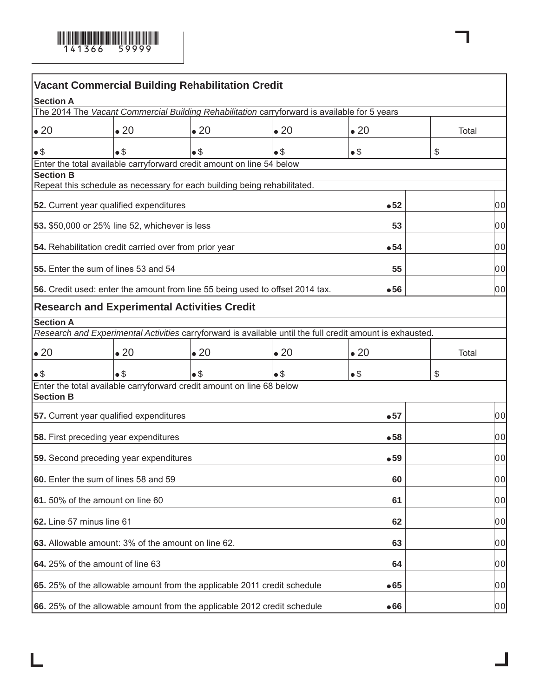

| <b>Vacant Commercial Building Rehabilitation Credit</b>                                                   |              |              |              |              |  |       |    |
|-----------------------------------------------------------------------------------------------------------|--------------|--------------|--------------|--------------|--|-------|----|
| <b>Section A</b>                                                                                          |              |              |              |              |  |       |    |
| The 2014 The Vacant Commercial Building Rehabilitation carryforward is available for 5 years              |              |              |              |              |  |       |    |
| $\bullet$ 20                                                                                              | $\bullet$ 20 | $\bullet$ 20 | $\bullet$ 20 | $\bullet$ 20 |  |       |    |
| $\bullet$ \$                                                                                              | $\bullet$ \$ | $\bullet$ \$ | $\bullet$ \$ | •\$          |  | \$    |    |
| Enter the total available carryforward credit amount on line 54 below                                     |              |              |              |              |  |       |    |
| <b>Section B</b><br>Repeat this schedule as necessary for each building being rehabilitated.              |              |              |              |              |  |       |    |
|                                                                                                           |              |              |              |              |  |       |    |
| 52. Current year qualified expenditures                                                                   |              |              |              | •52          |  |       | 00 |
| <b>53.</b> \$50,000 or 25% line 52, whichever is less                                                     |              |              |              | 53           |  |       | 00 |
| 54. Rehabilitation credit carried over from prior year                                                    |              |              |              | •54          |  |       | 00 |
| <b>55.</b> Enter the sum of lines 53 and 54                                                               |              |              |              | 55           |  |       | 00 |
| 56. Credit used: enter the amount from line 55 being used to offset 2014 tax.                             |              |              |              | •56          |  |       | 00 |
| <b>Research and Experimental Activities Credit</b>                                                        |              |              |              |              |  |       |    |
| <b>Section A</b>                                                                                          |              |              |              |              |  |       |    |
| Research and Experimental Activities carryforward is available until the full credit amount is exhausted. |              |              |              |              |  |       |    |
| $\bullet$ 20                                                                                              | $\bullet$ 20 | $\bullet$ 20 | $\bullet$ 20 | $\bullet$ 20 |  | Total |    |
| $\bullet$ \$                                                                                              | $\bullet$ \$ | $\bullet$ \$ | $\bullet$ \$ | $\bullet$ \$ |  | \$    |    |
| Enter the total available carryforward credit amount on line 68 below                                     |              |              |              |              |  |       |    |
| <b>Section B</b>                                                                                          |              |              |              |              |  |       |    |
| 57. Current year qualified expenditures                                                                   |              |              |              | •57          |  |       | 00 |
| 58. First preceding year expenditures                                                                     |              |              |              | •58          |  |       | 00 |
| <b>59.</b> Second preceding year expenditures                                                             |              |              |              | •59          |  |       | 00 |
| 60. Enter the sum of lines 58 and 59                                                                      |              |              |              | 60           |  |       | 00 |
| 61.50% of the amount on line 60                                                                           |              |              |              |              |  |       |    |
|                                                                                                           |              |              |              | 61           |  |       | 00 |
| 62. Line 57 minus line 61<br>62                                                                           |              |              |              |              |  | 00    |    |
| 63. Allowable amount: 3% of the amount on line 62.<br>63                                                  |              |              |              |              |  | 00    |    |
| 64. 25% of the amount of line 63<br>64                                                                    |              |              |              |              |  | 00    |    |
| 65. 25% of the allowable amount from the applicable 2011 credit schedule                                  |              |              |              | •65          |  |       | 00 |
| 66. 25% of the allowable amount from the applicable 2012 credit schedule                                  |              |              |              | •66          |  |       | 00 |